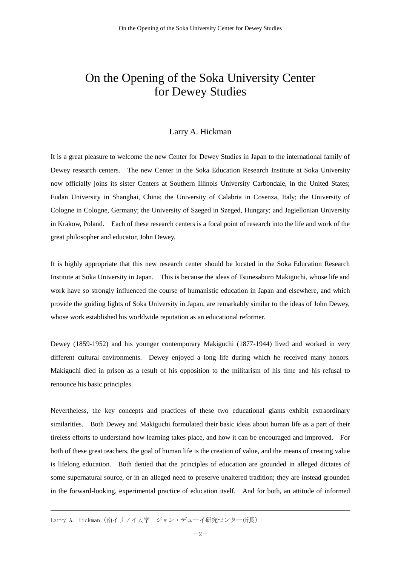## On the Opening of the Soka University Center for Dewey Studies

## Larry A. Hickman

It is a great pleasure to welcome the new Center for Dewey Studies in Japan to the international family of Dewey research centers. The new Center in the Soka Education Research Institute at Soka University now officially joins its sister Centers at Southern Illinois University Carbondale, in the United States; Fudan University in Shanghai, China; the University of Calabria in Cosenza, Italy; the University of Cologne in Cologne, Germany; the University of Szeged in Szeged, Hungary; and Jagiellonian University in Krakow, Poland. Each of these research centers is a focal point of research into the life and work of the great philosopher and educator, John Dewey.

It is highly appropriate that this new research center should be located in the Soka Education Research Institute at Soka University in Japan. This is because the ideas of Tsunesaburo Makiguchi, whose life and work have so strongly influenced the course of humanistic education in Japan and elsewhere, and which provide the guiding lights of Soka University in Japan, are remarkably similar to the ideas of John Dewey, whose work established his worldwide reputation as an educational reformer.

Dewey (1859-1952) and his younger contemporary Makiguchi (1877-1944) lived and worked in very different cultural environments. Dewey enjoyed a long life during which he received many honors. Makiguchi died in prison as a result of his opposition to the militarism of his time and his refusal to renounce his basic principles.

Nevertheless, the key concepts and practices of these two educational giants exhibit extraordinary similarities. Both Dewey and Makiguchi formulated their basic ideas about human life as a part of their tireless efforts to understand how learning takes place, and how it can be encouraged and improved. For both of these great teachers, the goal of human life is the creation of value, and the means of creating value is lifelong education. Both denied that the principles of education are grounded in alleged dictates of some supernatural source, or in an alleged need to preserve unaltered tradition; they are instead grounded in the forward-looking, experimental practice of education itself. And for both, an attitude of informed